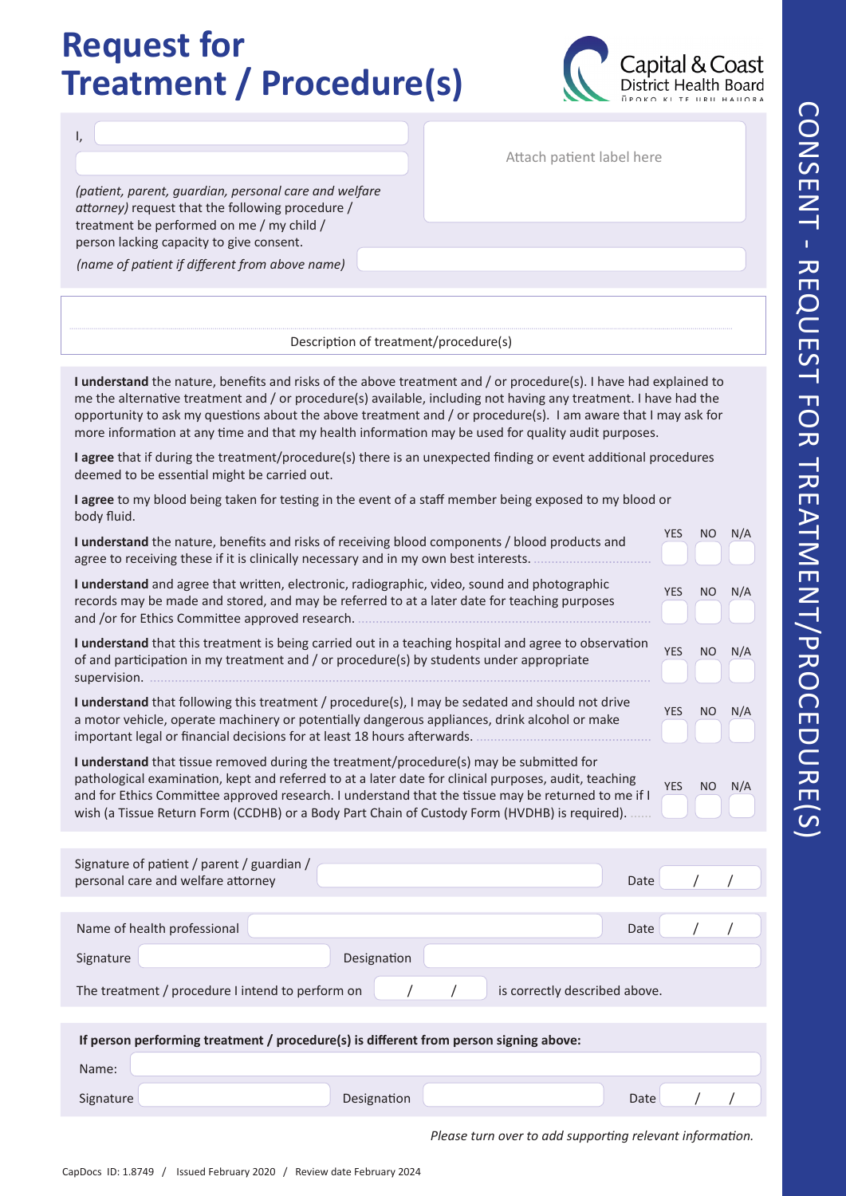## CONSENT - REQUEST FOR TREATMENT/PROCEDURE(S) CONSENT - REQUEST FOR TREATMENT/PROCEDURE(S

## **Request for Treatment / Procedure(s)**



Attach patient label here

*(patient, parent, guardian, personal care and welfare attorney)* request that the following procedure / treatment be performed on me / my child / person lacking capacity to give consent.

*(name of patient if different from above name)*

I,

Description of treatment/procedure(s)

**I understand** the nature, benefits and risks of the above treatment and / or procedure(s). I have had explained to me the alternative treatment and / or procedure(s) available, including not having any treatment. I have had the opportunity to ask my questions about the above treatment and / or procedure(s). I am aware that I may ask for more information at any time and that my health information may be used for quality audit purposes.

**I agree** that if during the treatment/procedure(s) there is an unexpected finding or event additional procedures deemed to be essential might be carried out.

**I agree** to my blood being taken for testing in the event of a staff member being exposed to my blood or body fluid.

| I understand the nature, benefits and risks of receiving blood components / blood products and<br>agree to receiving these if it is clinically necessary and in my own best interests.                                                                                                                                                                                                                   | <b>YES</b> | <b>NO</b> | N/A |
|----------------------------------------------------------------------------------------------------------------------------------------------------------------------------------------------------------------------------------------------------------------------------------------------------------------------------------------------------------------------------------------------------------|------------|-----------|-----|
| I understand and agree that written, electronic, radiographic, video, sound and photographic<br>records may be made and stored, and may be referred to at a later date for teaching purposes                                                                                                                                                                                                             | <b>YES</b> | NO        | N/A |
| I understand that this treatment is being carried out in a teaching hospital and agree to observation<br>of and participation in my treatment and / or procedure(s) by students under appropriate                                                                                                                                                                                                        | <b>YES</b> | <b>NO</b> | N/A |
| I understand that following this treatment / procedure(s), I may be sedated and should not drive<br>a motor vehicle, operate machinery or potentially dangerous appliances, drink alcohol or make<br>important legal or financial decisions for at least 18 hours afterwards.                                                                                                                            | <b>YES</b> | NO        | N/A |
| I understand that tissue removed during the treatment/procedure(s) may be submitted for<br>pathological examination, kept and referred to at a later date for clinical purposes, audit, teaching<br>and for Ethics Committee approved research. I understand that the tissue may be returned to me if I<br>wish (a Tissue Return Form (CCDHB) or a Body Part Chain of Custody Form (HVDHB) is required). | <b>YES</b> | <b>NO</b> | N/A |
| Signature of patient / parent / guardian /<br>personal care and welfare attorney<br>Date                                                                                                                                                                                                                                                                                                                 |            |           |     |
| Name of health professional<br>Date                                                                                                                                                                                                                                                                                                                                                                      |            |           |     |
| Designation<br>Signature                                                                                                                                                                                                                                                                                                                                                                                 |            |           |     |
| The treatment / procedure I intend to perform on<br>is correctly described above.                                                                                                                                                                                                                                                                                                                        |            |           |     |
|                                                                                                                                                                                                                                                                                                                                                                                                          |            |           |     |
| If person performing treatment / procedure(s) is different from person signing above:                                                                                                                                                                                                                                                                                                                    |            |           |     |
| Name:                                                                                                                                                                                                                                                                                                                                                                                                    |            |           |     |
| Designation<br>Signature<br>Date                                                                                                                                                                                                                                                                                                                                                                         |            |           |     |

*Please turn over to add supporting relevant information.*